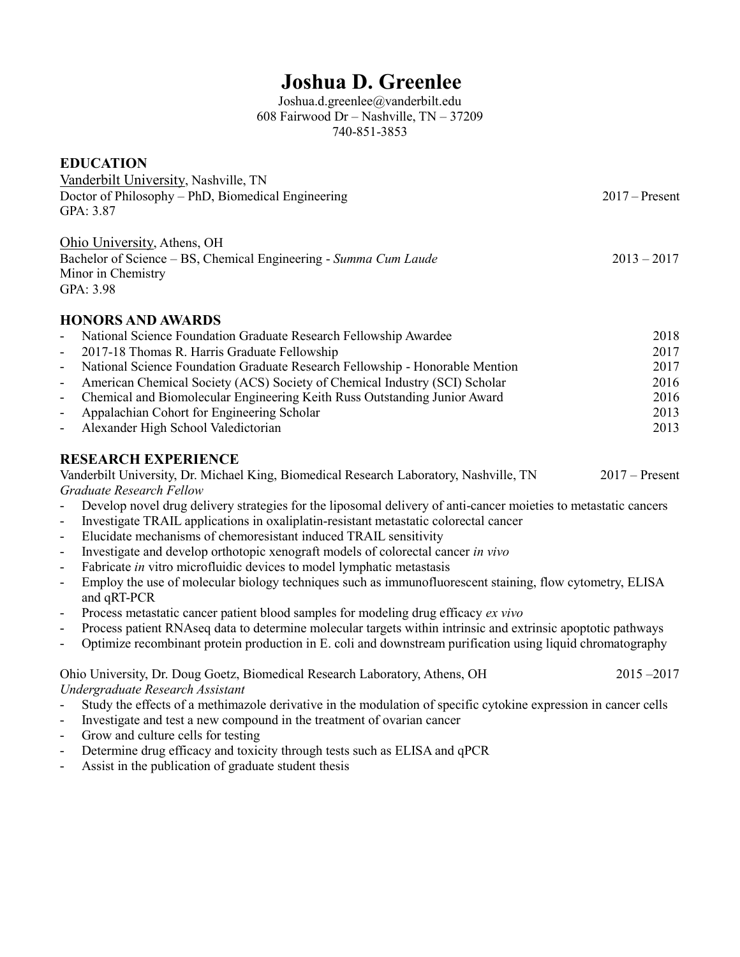# **Joshua D. Greenlee**

Joshua.d.greenlee@vanderbilt.edu 608 Fairwood Dr – Nashville, TN – 37209 740-851-3853

# **EDUCATION** Vanderbilt University, Nashville, TN Doctor of Philosophy – PhD, Biomedical Engineering 2017 – Present GPA: 3.87 Ohio University, Athens, OH Bachelor of Science – BS, Chemical Engineering - *Summa Cum Laude* 2013 – 2017 Minor in Chemistry GPA: 3.98 **HONORS AND AWARDS** - National Science Foundation Graduate Research Fellowship Awardee 2018 - 2017-18 Thomas R. Harris Graduate Fellowship 2017 - National Science Foundation Graduate Research Fellowship - Honorable Mention 2017 - American Chemical Society (ACS) Society of Chemical Industry (SCI) Scholar 2016 - Chemical and Biomolecular Engineering Keith Russ Outstanding Junior Award 2016 - Appalachian Cohort for Engineering Scholar 2013 - Alexander High School Valedictorian 2013 **RESEARCH EXPERIENCE** Vanderbilt University, Dr. Michael King, Biomedical Research Laboratory, Nashville, TN 2017 – Present *Graduate Research Fellow* - Develop novel drug delivery strategies for the liposomal delivery of anti-cancer moieties to metastatic cancers - Investigate TRAIL applications in oxaliplatin-resistant metastatic colorectal cancer - Elucidate mechanisms of chemoresistant induced TRAIL sensitivity - Investigate and develop orthotopic xenograft models of colorectal cancer *in vivo* Fabricate *in* vitro microfluidic devices to model lymphatic metastasis - Employ the use of molecular biology techniques such as immunofluorescent staining, flow cytometry, ELISA and qRT-PCR - Process metastatic cancer patient blood samples for modeling drug efficacy *ex vivo*

- Process patient RNAseq data to determine molecular targets within intrinsic and extrinsic apoptotic pathways
- Optimize recombinant protein production in E. coli and downstream purification using liquid chromatography

Ohio University, Dr. Doug Goetz, Biomedical Research Laboratory, Athens, OH 2015 –2017 *Undergraduate Research Assistant*

- Study the effects of a methimazole derivative in the modulation of specific cytokine expression in cancer cells
- Investigate and test a new compound in the treatment of ovarian cancer
- Grow and culture cells for testing
- Determine drug efficacy and toxicity through tests such as ELISA and qPCR
- Assist in the publication of graduate student thesis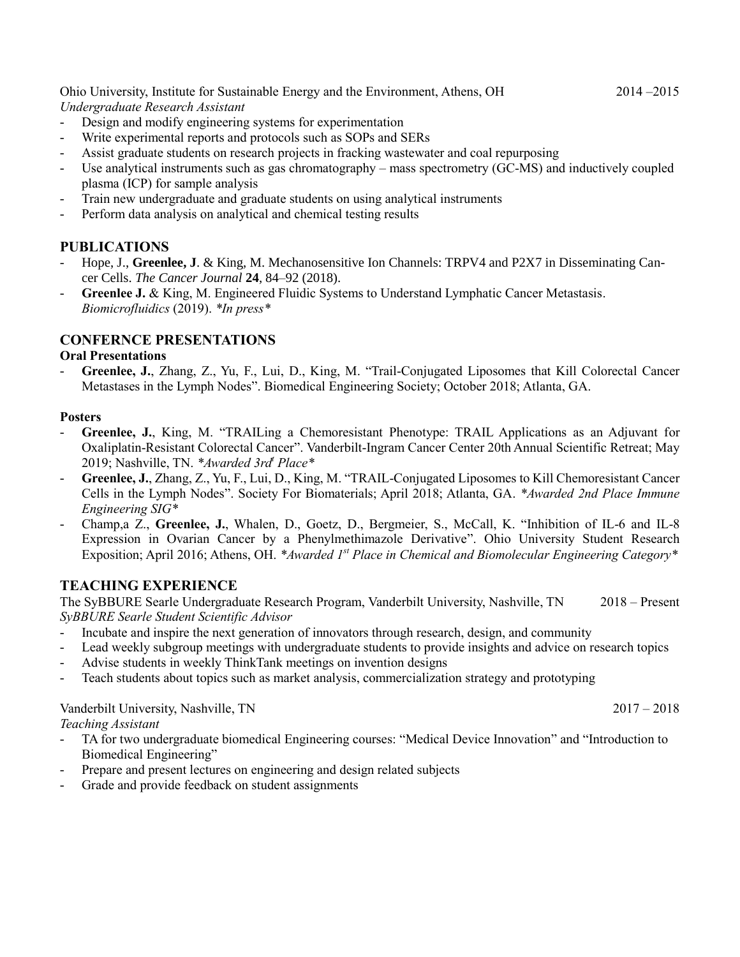Ohio University, Institute for Sustainable Energy and the Environment, Athens, OH 2014 –2015

- *Undergraduate Research Assistant*
- Design and modify engineering systems for experimentation
- Write experimental reports and protocols such as SOPs and SERs
- Assist graduate students on research projects in fracking wastewater and coal repurposing
- Use analytical instruments such as gas chromatography mass spectrometry (GC-MS) and inductively coupled plasma (ICP) for sample analysis
- Train new undergraduate and graduate students on using analytical instruments
- Perform data analysis on analytical and chemical testing results

## **PUBLICATIONS**

- Hope, J., Greenlee, J. & King, M. Mechanosensitive Ion Channels: TRPV4 and P2X7 in Disseminating Cancer Cells. *The Cancer Journal* **24**, 84–92 (2018).
- Greenlee J. & King, M. Engineered Fluidic Systems to Understand Lymphatic Cancer Metastasis. *Biomicrofluidics* (2019). *\*In press\**

# **CONFERNCE PRESENTATIONS**

#### **Oral Presentations**

- **Greenlee, J.**, Zhang, Z., Yu, F., Lui, D., King, M. "Trail-Conjugated Liposomes that Kill Colorectal Cancer Metastases in the Lymph Nodes". Biomedical Engineering Society; October 2018; Atlanta, GA.

#### **Posters**

- **Greenlee, J.**, King, M. "TRAILing a Chemoresistant Phenotype: TRAIL Applications as an Adjuvant for Oxaliplatin-Resistant Colorectal Cancer". Vanderbilt-Ingram Cancer Center 20th Annual Scientific Retreat; May 2019; Nashville, TN. *\*Awarded 3rd<sup>t</sup> Place\**
- **Greenlee, J.**, Zhang, Z., Yu, F., Lui, D., King, M. "TRAIL-Conjugated Liposomes to Kill Chemoresistant Cancer Cells in the Lymph Nodes". Society For Biomaterials; April 2018; Atlanta, GA. *\*Awarded 2nd Place Immune Engineering SIG\**
- Champ,a Z., **Greenlee, J.**, Whalen, D., Goetz, D., Bergmeier, S., McCall, K. "Inhibition of IL-6 and IL-8 Expression in Ovarian Cancer by a Phenylmethimazole Derivative". Ohio University Student Research Exposition; April 2016; Athens, OH. *\*Awarded 1st Place in Chemical and Biomolecular Engineering Category\**

# **TEACHING EXPERIENCE**

The SyBBURE Searle Undergraduate Research Program, Vanderbilt University, Nashville, TN 2018 – Present *SyBBURE Searle Student Scientific Advisor*

- Incubate and inspire the next generation of innovators through research, design, and community
- Lead weekly subgroup meetings with undergraduate students to provide insights and advice on research topics
- Advise students in weekly ThinkTank meetings on invention designs
- Teach students about topics such as market analysis, commercialization strategy and prototyping

## Vanderbilt University, Nashville, TN 2017 – 2018

## *Teaching Assistant*

- TA for two undergraduate biomedical Engineering courses: "Medical Device Innovation" and "Introduction to Biomedical Engineering"
- Prepare and present lectures on engineering and design related subjects
- Grade and provide feedback on student assignments